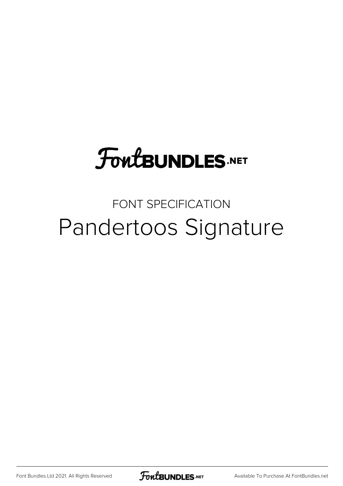## **FoutBUNDLES.NET**

## FONT SPECIFICATION Pandertoos Signature

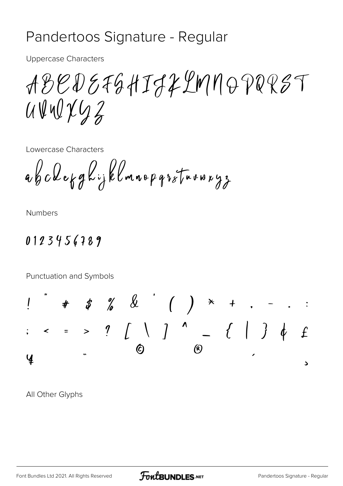## Pandertoos Signature - Regular

**Uppercase Characters** 

ABEDEFGHIJLLMMOPQRST  $U\bigtriangledown U\bigtriangledown U\bigtriangledown Z$ 

Lowercase Characters

abclekghijklmnopgrstnunuyz

**Numbers** 

## 0123456789

Punctuation and Symbols



All Other Glyphs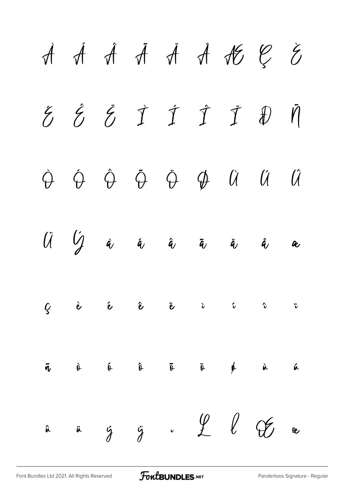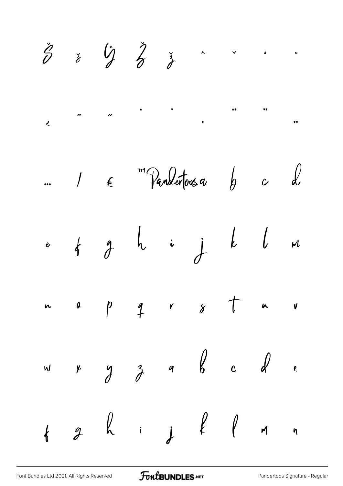$\check{\check{z}}$   $\left(\begin{matrix} \ddot{\eta} & \dot{\check{\gamma}} \\ \dot{\theta} & \dot{\check{\sigma}} \end{matrix}\right)$   $\qquad$  $\check{\mathscr{E}}$  $\overline{\mu}$  $\overline{c}$  $\bullet \bullet$ m Pandertous a  $\mathcal{L}$  $h$   $c$  $\int$   $\epsilon$  $\ddot{\bullet}$  $i$  j  $k$   $l$  $\begin{array}{ccc} \phi & \phi & \phi \end{array}$  $M$  $\boldsymbol{e}$  $\uparrow$  $\begin{array}{ccc} & r & s \end{array}$  $\overline{p}$  $\boldsymbol{\theta}$  $\overline{\mathbf{r}}$  $\mathbf{v}$  $\mathsf{m}$  $\begin{array}{ccc} & & \text{0} & \text{0} & \text{0} & \text{0} & \text{0} \end{array}$  $\frac{3}{2}$  $\lambda$  $\epsilon$  $\gamma$  $\mathsf{w}$  $\begin{array}{ccc} \n & \vdots & \vdots & \n\end{array}$  $\overline{\partial}$  $\left\langle \right\rangle$  $\mathcal{M}_{\mathcal{A}}$  $\eta$